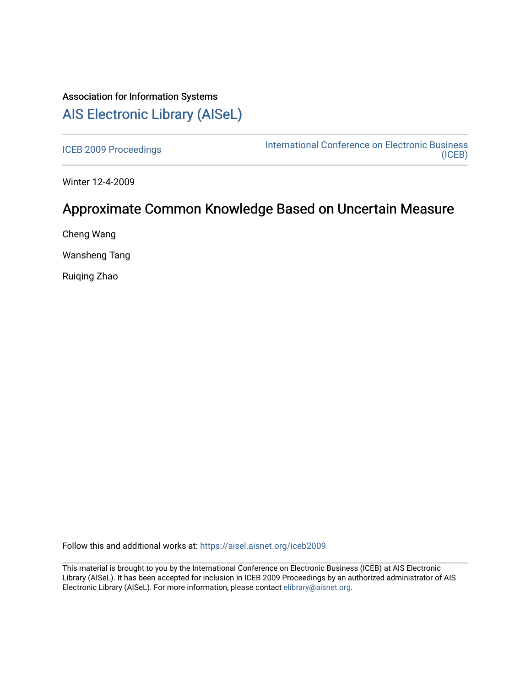# Association for Information Systems [AIS Electronic Library \(AISeL\)](https://aisel.aisnet.org/)

[ICEB 2009 Proceedings](https://aisel.aisnet.org/iceb2009) **International Conference on Electronic Business** [\(ICEB\)](https://aisel.aisnet.org/iceb) 

Winter 12-4-2009

# Approximate Common Knowledge Based on Uncertain Measure

Cheng Wang

Wansheng Tang

Ruiqing Zhao

Follow this and additional works at: [https://aisel.aisnet.org/iceb2009](https://aisel.aisnet.org/iceb2009?utm_source=aisel.aisnet.org%2Ficeb2009%2F140&utm_medium=PDF&utm_campaign=PDFCoverPages)

This material is brought to you by the International Conference on Electronic Business (ICEB) at AIS Electronic Library (AISeL). It has been accepted for inclusion in ICEB 2009 Proceedings by an authorized administrator of AIS Electronic Library (AISeL). For more information, please contact [elibrary@aisnet.org.](mailto:elibrary@aisnet.org%3E)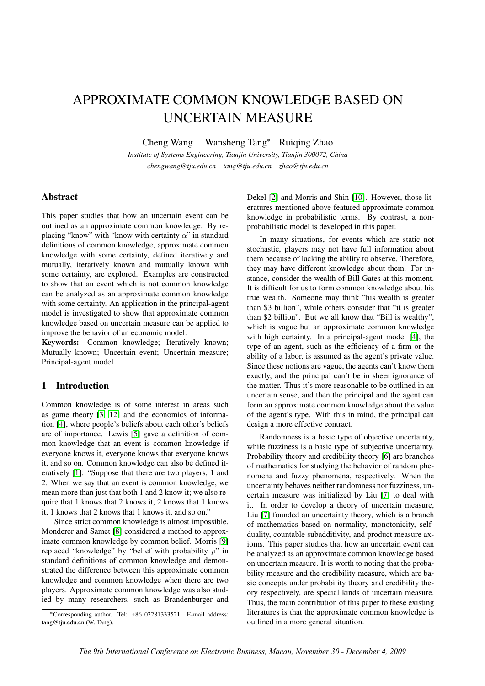# APPROXIMATE COMMON KNOWLEDGE BASED ON UNCERTAIN MEASURE

Cheng Wang Wansheng Tang<sup>∗</sup> Ruiqing Zhao

*Institute of Systems Engineering, Tianjin University, Tianjin 300072, China chengwang@tju.edu.cn tang@tju.edu.cn zhao@tju.edu.cn*

## Abstract

This paper studies that how an uncertain event can be outlined as an approximate common knowledge. By replacing "know" with "know with certainty  $\alpha$ " in standard definitions of common knowledge, approximate common knowledge with some certainty, defined iteratively and mutually, iteratively known and mutually known with some certainty, are explored. Examples are constructed to show that an event which is not common knowledge can be analyzed as an approximate common knowledge with some certainty. An application in the principal-agent model is investigated to show that approximate common knowledge based on uncertain measure can be applied to improve the behavior of an economic model.

Keywords: Common knowledge; Iteratively known; Mutually known; Uncertain event; Uncertain measure; Principal-agent model

## 1 Introduction

Common knowledge is of some interest in areas such as game theory [\[3,](#page-8-0) [12\]](#page-8-0) and the economics of information [\[4\]](#page-8-0), where people's beliefs about each other's beliefs are of importance. Lewis [\[5\]](#page-8-0) gave a definition of common knowledge that an event is common knowledge if everyone knows it, everyone knows that everyone knows it, and so on. Common knowledge can also be defined iteratively [\[1\]](#page-8-0): "Suppose that there are two players, 1 and 2. When we say that an event is common knowledge, we mean more than just that both 1 and 2 know it; we also require that 1 knows that 2 knows it, 2 knows that 1 knows it, 1 knows that 2 knows that 1 knows it, and so on."

Since strict common knowledge is almost impossible, Monderer and Samet [\[8\]](#page-8-0) considered a method to approximate common knowledge by common belief. Morris [\[9\]](#page-8-0) replaced "knowledge" by "belief with probability  $p$ " in standard definitions of common knowledge and demonstrated the difference between this approximate common knowledge and common knowledge when there are two players. Approximate common knowledge was also studied by many researchers, such as Brandenburger and

<sup>∗</sup>Corresponding author. Tel: +86 02281333521. E-mail address: tang@tju.edu.cn (W. Tang).

Dekel [\[2\]](#page-8-0) and Morris and Shin [\[10\]](#page-8-0). However, those literatures mentioned above featured approximate common knowledge in probabilistic terms. By contrast, a nonprobabilistic model is developed in this paper.

In many situations, for events which are static not stochastic, players may not have full information about them because of lacking the ability to observe. Therefore, they may have different knowledge about them. For instance, consider the wealth of Bill Gates at this moment. It is difficult for us to form common knowledge about his true wealth. Someone may think "his wealth is greater than \$3 billion", while others consider that "it is greater than \$2 billion". But we all know that "Bill is wealthy", which is vague but an approximate common knowledge with high certainty. In a principal-agent model [\[4\]](#page-8-0), the type of an agent, such as the efficiency of a firm or the ability of a labor, is assumed as the agent's private value. Since these notions are vague, the agents can't know them exactly, and the principal can't be in sheer ignorance of the matter. Thus it's more reasonable to be outlined in an uncertain sense, and then the principal and the agent can form an approximate common knowledge about the value of the agent's type. With this in mind, the principal can design a more effective contract.

Randomness is a basic type of objective uncertainty, while fuzziness is a basic type of subjective uncertainty. Probability theory and credibility theory [\[6\]](#page-8-0) are branches of mathematics for studying the behavior of random phenomena and fuzzy phenomena, respectively. When the uncertainty behaves neither randomness nor fuzziness, uncertain measure was initialized by Liu [\[7\]](#page-8-0) to deal with it. In order to develop a theory of uncertain measure, Liu [\[7\]](#page-8-0) founded an uncertainty theory, which is a branch of mathematics based on normality, monotonicity, selfduality, countable subadditivity, and product measure axioms. This paper studies that how an uncertain event can be analyzed as an approximate common knowledge based on uncertain measure. It is worth to noting that the probability measure and the credibility measure, which are basic concepts under probability theory and credibility theory respectively, are special kinds of uncertain measure. Thus, the main contribution of this paper to these existing literatures is that the approximate common knowledge is outlined in a more general situation.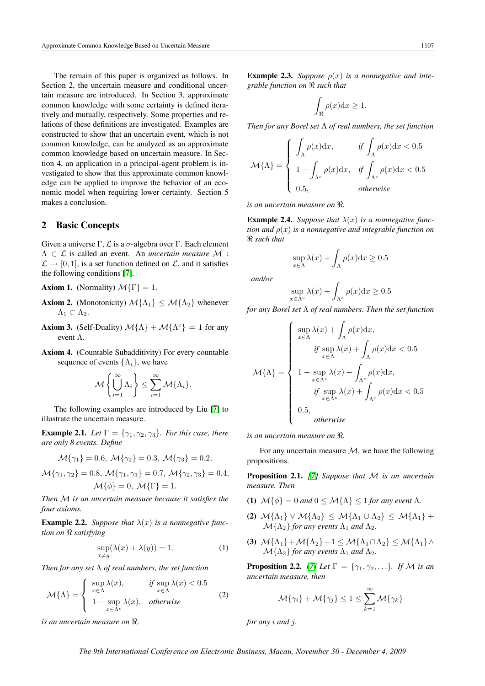<span id="page-2-0"></span>The remain of this paper is organized as follows. In Section 2, the uncertain measure and conditional uncertain measure are introduced. In Section 3, approximate common knowledge with some certainty is defined iteratively and mutually, respectively. Some properties and relations of these definitions are investigated. Examples are constructed to show that an uncertain event, which is not common knowledge, can be analyzed as an approximate common knowledge based on uncertain measure. In Section 4, an application in a principal-agent problem is investigated to show that this approximate common knowledge can be applied to improve the behavior of an economic model when requiring lower certainty. Section 5 makes a conclusion.

### 2 Basic Concepts

Given a universe Γ,  $\mathcal L$  is a  $\sigma$ -algebra over Γ. Each element Λ ∈ L is called an event. An *uncertain measure* M :  $\mathcal{L} \rightarrow [0, 1]$ , is a set function defined on  $\mathcal{L}$ , and it satisfies the following conditions [\[7\]](#page-8-0).

**Axiom 1.** (Normality)  $\mathcal{M}\{\Gamma\} = 1$ .

- **Axiom 2.** (Monotonicity)  $\mathcal{M}\{\Lambda_1\} \leq \mathcal{M}\{\Lambda_2\}$  whenever  $\Lambda_1 \subset \Lambda_2$ .
- **Axiom 3.** (Self-Duality)  $\mathcal{M}\{\Lambda\} + \mathcal{M}\{\Lambda^c\} = 1$  for any event Λ.
- Axiom 4. (Countable Subadditivity) For every countable sequence of events  $\{\Lambda_i\}$ , we have

$$
\mathcal{M}\left\{\bigcup_{i=1}^{\infty}\Lambda_i\right\} \leq \sum_{i=1}^{\infty}\mathcal{M}\{\Lambda_i\}.
$$

The following examples are introduced by Liu [\[7\]](#page-8-0) to illustrate the uncertain measure.

**Example 2.1.** *Let*  $\Gamma = \{\gamma_1, \gamma_2, \gamma_3\}$ *. For this case, there are only 8 events. Define*

$$
\mathcal{M}{\gamma_1} = 0.6, \ \mathcal{M}{\gamma_2} = 0.3, \ \mathcal{M}{\gamma_3} = 0.2,
$$

$$
\mathcal{M}\{\gamma_1, \gamma_2\} = 0.8, \ \mathcal{M}\{\gamma_1, \gamma_3\} = 0.7, \ \mathcal{M}\{\gamma_2, \gamma_3\} = 0.4, \mathcal{M}\{\phi\} = 0, \ \mathcal{M}\{\Gamma\} = 1.
$$

*Then* M *is an uncertain measure because it satisfies the four axioms.*

**Example 2.2.** *Suppose that*  $\lambda(x)$  *is a nonnegative function on* < *satisfying*

$$
\sup_{x \neq y} (\lambda(x) + \lambda(y)) = 1.
$$
 (1)

*Then for any set* Λ *of real numbers, the set function*

$$
\mathcal{M}\{\Lambda\} = \begin{cases} \sup_{x \in \Lambda} \lambda(x), & \text{if } \sup_{x \in \Lambda} \lambda(x) < 0.5 \\ 1 - \sup_{x \in \Lambda^c} \lambda(x), & \text{otherwise} \end{cases} \tag{2}
$$

*is an uncertain measure on*  $\Re$ .

**Example 2.3.** *Suppose*  $\rho(x)$  *is a nonnegative and integrable function on* < *such that*

$$
\int_{\Re} \rho(x) \mathrm{d}x \ge 1.
$$

*Then for any Borel set* Λ *of real numbers, the set function*

$$
\mathcal{M}\{\Lambda\} = \begin{cases} \int_{\Lambda} \rho(x) dx, & \text{if } \int_{\Lambda} \rho(x) dx < 0.5\\ 1 - \int_{\Lambda^c} \rho(x) dx, & \text{if } \int_{\Lambda^c} \rho(x) dx < 0.5\\ 0.5, & \text{otherwise} \end{cases}
$$

*is an uncertain measure on*  $\Re$ .

**Example 2.4.** *Suppose that*  $\lambda(x)$  *is a nonnegative function and* ρ(x) *is a nonnegative and integrable function on* < *such that*

$$
\sup_{x \in \Lambda} \lambda(x) + \int_{\Lambda} \rho(x) dx \ge 0.5
$$

*and/or*

$$
\sup_{x \in \Lambda^c} \lambda(x) + \int_{\Lambda^c} \rho(x) \mathrm{d}x \ge 0.5
$$

*for any Borel set* Λ *of real numbers. Then the set function*

$$
\mathcal{M}\{\Lambda\} = \begin{cases}\n\sup_{x \in \Lambda} \lambda(x) + \int_{\Lambda} \rho(x) dx, \\
\text{if } \sup_{x \in \Lambda} \lambda(x) + \int_{\Lambda} \rho(x) dx < 0.5 \\
1 - \sup_{x \in \Lambda^c} \lambda(x) - \int_{\Lambda^c} \rho(x) dx, \\
\text{if } \sup_{x \in \Lambda^c} \lambda(x) + \int_{\Lambda^c} \rho(x) dx < 0.5 \\
0.5, \\
\text{otherwise}\n\end{cases}
$$

*is an uncertain measure on* <*.*

For any uncertain measure  $M$ , we have the following propositions.

Proposition 2.1. *[\[7\]](#page-8-0) Suppose that* M *is an uncertain measure. Then*

- (1)  $\mathcal{M}\{\phi\} = 0$  *and*  $0 \leq \mathcal{M}\{\Lambda\} \leq 1$  *for any event*  $\Lambda$ *.*
- (2)  $\mathcal{M}\{\Lambda_1\} \vee \mathcal{M}\{\Lambda_2\} \leq \mathcal{M}\{\Lambda_1 \cup \Lambda_2\} \leq \mathcal{M}\{\Lambda_1\} +$  $\mathcal{M}\{\Lambda_2\}$  *for any events*  $\Lambda_1$  *and*  $\Lambda_2$ *.*
- (3)  $\mathcal{M}\{\Lambda_1\}+\mathcal{M}\{\Lambda_2\}-1 \leq \mathcal{M}\{\Lambda_1\cap\Lambda_2\} \leq \mathcal{M}\{\Lambda_1\}\wedge$  $M\{\Lambda_2\}$  *for any events*  $\Lambda_1$  *and*  $\Lambda_2$ *.*

**Proposition 2.2.** [\[7\]](#page-8-0) Let  $\Gamma = \{\gamma_1, \gamma_2, \ldots\}$ *. If* M is an *uncertain measure, then*

$$
\mathcal{M}{\{\gamma_i\}} + \mathcal{M}{\{\gamma_j\}} \le 1 \le \sum_{k=1}^{\infty} \mathcal{M}{\{\gamma_k\}}
$$

*for any* i *and* j*.*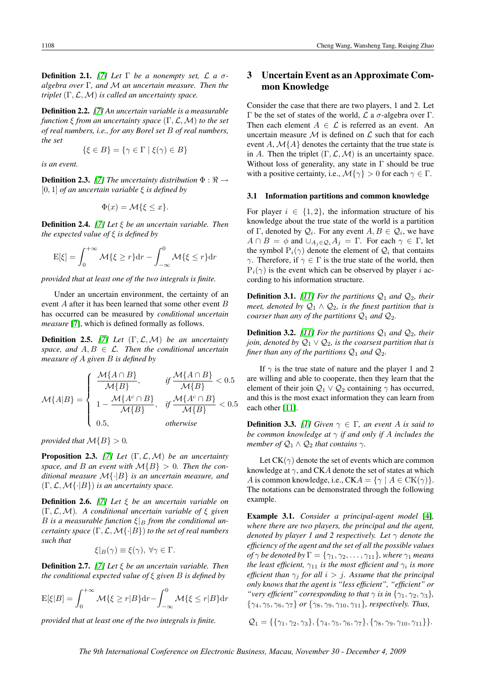<span id="page-3-0"></span>**Definition 2.1.** [\[7\]](#page-8-0) Let  $\Gamma$  be a nonempty set,  $\mathcal{L}$  a  $\sigma$ *algebra over* Γ*, and* M *an uncertain measure. Then the triplet* (Γ,L,M) *is called an uncertainty space.*

Definition 2.2. *[\[7\]](#page-8-0) An uncertain variable is a measurable function* ξ *from an uncertainty space* (Γ,L,M) *to the set of real numbers, i.e., for any Borel set* B *of real numbers, the set*

$$
\{\xi \in B\} = \{\gamma \in \Gamma \mid \xi(\gamma) \in B\}
$$

*is an event.*

**Definition 2.3.** [\[7\]](#page-8-0) The uncertainty distribution  $\Phi : \mathbb{R} \rightarrow$ [0, 1] *of an uncertain variable* ξ *is defined by*

$$
\Phi(x) = \mathcal{M}\{\xi \le x\}.
$$

Definition 2.4. *[\[7\]](#page-8-0) Let* ξ *be an uncertain variable. Then the expected value of* ξ *is defined by*

$$
E[\xi] = \int_0^{+\infty} \mathcal{M}\{\xi \ge r\} dr - \int_{-\infty}^0 \mathcal{M}\{\xi \le r\} dr
$$

*provided that at least one of the two integrals is finite.*

Under an uncertain environment, the certainty of an event A after it has been learned that some other event B has occurred can be measured by *conditional uncertain measure* [\[7\]](#page-8-0), which is defined formally as follows.

Definition 2.5. *[\[7\]](#page-8-0) Let* (Γ,L,M) *be an uncertainty space, and*  $A, B \in \mathcal{L}$ *. Then the conditional uncertain measure of* A *given* B *is defined by*

$$
\mathcal{M}\{A|B\} = \begin{cases} \frac{\mathcal{M}\{A \cap B\}}{\mathcal{M}\{B\}}, & \text{if } \frac{\mathcal{M}\{A \cap B\}}{\mathcal{M}\{B\}} < 0.5 \\ 1 - \frac{\mathcal{M}\{A^c \cap B\}}{\mathcal{M}\{B\}}, & \text{if } \frac{\mathcal{M}\{A^c \cap B\}}{\mathcal{M}\{B\}} < 0.5 \\ 0.5, & \text{otherwise} \end{cases}
$$

*provided that*  $\mathcal{M}{B} > 0$ *.* 

Proposition 2.3. *[\[7\]](#page-8-0) Let* (Γ,L,M) *be an uncertainty* space, and B an event with  $\mathcal{M}{B} > 0$ . Then the con*ditional measure* M{·|B} *is an uncertain measure, and* (Γ,L,M{·|B}) *is an uncertainty space.*

Definition 2.6. *[\[7\]](#page-8-0) Let* ξ *be an uncertain variable on* (Γ,L,M)*. A conditional uncertain variable of* ξ *given* B is a measurable function  $\xi|_B$  from the conditional un*certainty space* (Γ,L,M{·|B}) *to the set of real numbers such that*

 $\xi|_B(\gamma) \equiv \xi(\gamma), \ \forall \gamma \in \Gamma.$ 

Definition 2.7. *[\[7\]](#page-8-0) Let* ξ *be an uncertain variable. Then the conditional expected value of* ξ *given* B *is defined by*

$$
E[\xi|B] = \int_0^{+\infty} \mathcal{M}\{\xi \ge r|B\} dr - \int_{-\infty}^0 \mathcal{M}\{\xi \le r|B\} dr
$$

*provided that at least one of the two integrals is finite.*

## 3 Uncertain Event as an Approximate Common Knowledge

Consider the case that there are two players, 1 and 2. Let Γ be the set of states of the world,  $\mathcal L$  a  $\sigma$ -algebra over Γ. Then each element  $A \in \mathcal{L}$  is referred as an event. An uncertain measure  $\mathcal M$  is defined on  $\mathcal L$  such that for each event A,  $\mathcal{M}{A}$  denotes the certainty that the true state is in A. Then the triplet  $(\Gamma, \mathcal{L}, \mathcal{M})$  is an uncertainty space. Without loss of generality, any state in  $\Gamma$  should be true with a positive certainty, i.e.,  $\mathcal{M}\{\gamma\} > 0$  for each  $\gamma \in \Gamma$ .

#### 3.1 Information partitions and common knowledge

For player  $i \in \{1, 2\}$ , the information structure of his knowledge about the true state of the world is a partition of Γ, denoted by  $\mathcal{Q}_i$ . For any event  $A, B \in \mathcal{Q}_i$ , we have  $A \cap B = \phi$  and  $\cup_{A_i \in \mathcal{Q}_i} A_i = \Gamma$ . For each  $\gamma \in \Gamma$ , let the symbol  $P_i(\gamma)$  denote the element of  $\mathcal{Q}_i$  that contains γ. Therefore, if  $\gamma \in \Gamma$  is the true state of the world, then  $P_i(\gamma)$  is the event which can be observed by player *i* according to his information structure.

**Definition 3.1.** [\[11\]](#page-8-0) For the partitions  $Q_1$  and  $Q_2$ , their *meet, denoted by*  $\mathcal{Q}_1 \wedge \mathcal{Q}_2$ *, is the finest partition that is coarser than any of the partitions*  $Q_1$  *and*  $Q_2$ *.* 

**Definition 3.2.** [\[11\]](#page-8-0) For the partitions  $Q_1$  and  $Q_2$ , their *join, denoted by*  $\mathcal{Q}_1 \vee \mathcal{Q}_2$ *, is the coarsest partition that is finer than any of the partitions*  $Q_1$  *and*  $Q_2$ *.* 

If  $\gamma$  is the true state of nature and the player 1 and 2 are willing and able to cooperate, then they learn that the element of their join  $Q_1 \vee Q_2$  containing  $\gamma$  has occurred, and this is the most exact information they can learn from each other [\[11\]](#page-8-0).

**Definition 3.3.** [\[1\]](#page-8-0) Given  $\gamma \in \Gamma$ , an event A is said to *be common knowledge at* γ *if and only if* A *includes the member of*  $Q_1 \wedge Q_2$  *that contains*  $\gamma$ *.* 

Let  $CK(\gamma)$  denote the set of events which are common knowledge at  $\gamma$ , and CKA denote the set of states at which A is common knowledge, i.e.,  $CKA = \{ \gamma \mid A \in CK(\gamma) \}.$ The notations can be demonstrated through the following example.

Example 3.1. *Consider a principal-agent model* [\[4\]](#page-8-0)*, where there are two players, the principal and the agent, denoted by player 1 and 2 respectively. Let*  $\gamma$  *denote the efficiency of the agent and the set of all the possible values of*  $\gamma$  *be denoted by*  $\Gamma = {\gamma_1, \gamma_2, \ldots, \gamma_{11}}$ *, where*  $\gamma_1$  *means the least efficient,*  $\gamma_{11}$  *is the most efficient and*  $\gamma_i$  *is more efficient than*  $\gamma_j$  *for all*  $i > j$ *. Assume that the principal only knows that the agent is "less efficient", "efficient" or "very efficient" corresponding to that*  $\gamma$  *is in*  $\{\gamma_1, \gamma_2, \gamma_3\}$ *,* {γ4, γ5, γ6, γ7} *or* {γ8, γ9, γ10, γ11}*, respectively. Thus,*

 $\mathcal{Q}_1 = \{\{\gamma_1, \gamma_2, \gamma_3\}, \{\gamma_4, \gamma_5, \gamma_6, \gamma_7\}, \{\gamma_8, \gamma_9, \gamma_{10}, \gamma_{11}\}\}.$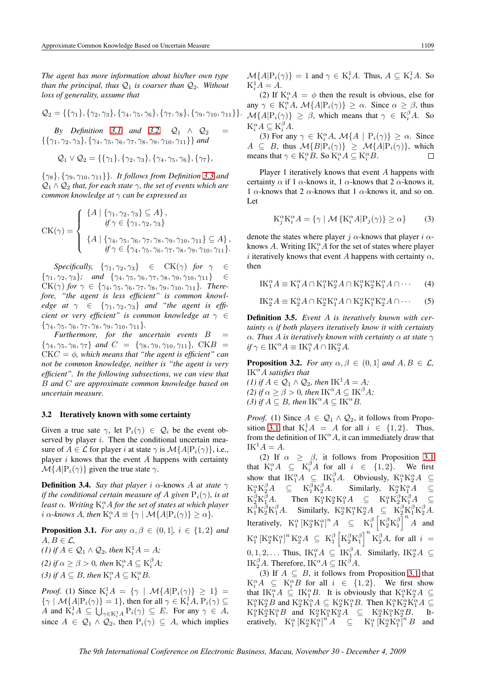<span id="page-4-0"></span>*The agent has more information about his/her own type than the principal, thus*  $Q_1$  *is coarser than*  $Q_2$ *. Without loss of generality, assume that*

$$
Q_2 = \{\{\gamma_1\}, \{\gamma_2, \gamma_3\}, \{\gamma_4, \gamma_5, \gamma_6\}, \{\gamma_7, \gamma_8\}, \{\gamma_9, \gamma_{10}, \gamma_{11}\}\}.
$$

*By Definition [3.1](#page-3-0) and [3.2,](#page-3-0)*  $Q_1 \wedge Q_2$  $\{\{\gamma_1,\gamma_2,\gamma_3\},\{\gamma_4,\gamma_5,\gamma_6,\gamma_7,\gamma_8,\gamma_9,\gamma_{10},\gamma_{11}\}\}\$ and

$$
Q_1 \vee Q_2 = \{\{\gamma_1\}, \{\gamma_2, \gamma_3\}, \{\gamma_4, \gamma_5, \gamma_6\}, \{\gamma_7\},\
$$

{γ8}, {γ9, γ10, γ11}}*. It follows from Definition [3.3](#page-3-0) and*  $\mathcal{Q}_1 \wedge \mathcal{Q}_2$  *that, for each state*  $\gamma$ *, the set of events which are common knowledge at* γ *can be expressed as*

$$
CK(\gamma) = \begin{cases} \{A \mid \{\gamma_1, \gamma_2, \gamma_3\} \subseteq A\}, \\ \quad \text{if } \gamma \in \{\gamma_1, \gamma_2, \gamma_3\} \\ \{A \mid \{\gamma_4, \gamma_5, \gamma_6, \gamma_7, \gamma_8, \gamma_9, \gamma_{10}, \gamma_{11}\} \subseteq A\}, \\ \quad \text{if } \gamma \in \{\gamma_4, \gamma_5, \gamma_6, \gamma_7, \gamma_8, \gamma_9, \gamma_{10}, \gamma_{11}\}. \end{cases}
$$

*Specifically,*  $\{\gamma_1, \gamma_2, \gamma_3\} \in \text{CK}(\gamma)$  *for*  $\gamma \in$  $\{\gamma_1, \gamma_2, \gamma_3\}$ *;* and  $\{\gamma_4, \gamma_5, \gamma_6, \gamma_7, \gamma_8, \gamma_9, \gamma_{10}, \gamma_{11}\}$   $\in$  $CK(\gamma)$  *for*  $\gamma \in \{\gamma_4, \gamma_5, \gamma_6, \gamma_7, \gamma_8, \gamma_9, \gamma_{10}, \gamma_{11}\}.$  *Therefore, "the agent is less efficient" is common knowledge at*  $\gamma \in \{\gamma_1, \gamma_2, \gamma_3\}$  *and "the agent is efficient or very efficient" is common knowledge at* γ ∈  ${\gamma_4, \gamma_5, \gamma_6, \gamma_7, \gamma_8, \gamma_9, \gamma_{10}, \gamma_{11}}.$ 

*Furthermore, for the uncertain events* B =  ${\gamma_4, \gamma_5, \gamma_6, \gamma_7}$  *and*  $C = {\gamma_8, \gamma_9, \gamma_{10}, \gamma_{11}}$ *,* CKB CKC = φ*, which means that "the agent is efficient" can not be common knowledge, neither is "the agent is very efficient". In the following subsections, we can view that* B *and* C *are approximate common knowledge based on uncertain measure.*

#### 3.2 Iteratively known with some certainty

Given a true sate  $\gamma$ , let  $P_i(\gamma) \in \mathcal{Q}_i$  be the event observed by player  $i$ . Then the conditional uncertain measure of  $A \in \mathcal{L}$  for player i at state  $\gamma$  is  $\mathcal{M}{A | P_i(\gamma)}$ , i.e., player  $i$  knows that the event  $A$  happens with certainty  $\mathcal{M}{A|P_i(\gamma)}$  given the true state  $\gamma$ .

**Definition 3.4.** *Say that player i*  $\alpha$ -knows *A at state*  $\gamma$ *if the conditional certain measure of* A *given*  $P_i(\gamma)$ *, is at* least  $\alpha$ . Writing  $\mathrm{K}^\alpha_i A$  for the set of states at which player *i*  $\alpha$ -knows A, then  $K_i^{\alpha} A \equiv {\gamma | \mathcal{M}{A | P_i(\gamma)} \ge \alpha}.$ 

**Proposition 3.1.** *For any*  $\alpha, \beta \in (0, 1]$ *,*  $i \in \{1, 2\}$  *and*  $A, B \in \mathcal{L}$ (1) if  $A \in \mathcal{Q}_1 \wedge \mathcal{Q}_2$ , then  $K_i^1 A = A$ ; *(2)* if  $\alpha \ge \beta > 0$ , then  $K_i^{\alpha} A \subseteq K_i^{\beta} A$ ; (3) if  $A \subseteq B$ , then  $K_i^{\alpha} A \subseteq K_i^{\alpha} B$ .

*Proof.* (1) Since  $K_i^1 A = \{ \gamma \mid \mathcal{M} \{ A | P_i(\gamma) \} \geq 1 \}$  $\{\gamma \mid \mathcal{M}\{A|P_i(\gamma)\}=1\}$ , then for all  $\gamma \in K_i^1A$ ,  $P_i(\gamma) \subseteq$ A and  $K_i^1 A \subseteq \bigcup_{\gamma \in K_i^1 A} P_i(\gamma) \subseteq E$ . For any  $\gamma \in A$ , since  $A \in \mathcal{Q}_1 \wedge \mathcal{Q}_2$ , then  $P_i(\gamma) \subseteq A$ , which implies  $\mathcal{M}{A|\mathcal{P}_i(\gamma)} = 1$  and  $\gamma \in \mathcal{K}_i^1 A$ . Thus,  $A \subseteq \mathcal{K}_i^1 A$ . So  $K_i^1 A = A.$ 

(2) If  $K_i^{\alpha}A = \phi$  then the result is obvious, else for any  $\gamma \in K_i^{\alpha}A$ ,  $\mathcal{M}{A | P_i(\gamma)} \ge \alpha$ . Since  $\alpha \ge \beta$ , thus  $\mathcal{M}{A | \mathbf{P}_i(\gamma)} \geq \beta$ , which means that  $\gamma \in \mathbf{K}_i^{\beta} A$ . So  $\mathbf{K}_i^{\alpha} A \subseteq \mathbf{K}_i^{\beta} A.$ 

(3) For any  $\gamma \in K_i^{\alpha}A$ ,  $\mathcal{M}{A \mid P_i(\gamma)} \geq \alpha$ . Since  $A \subseteq B$ , thus  $\mathcal{M}{B|P_i(\gamma)} \geq \mathcal{M}{A|P_i(\gamma)}$ , which means that  $\gamma \in K_i^{\alpha}B$ . So  $K_i^{\alpha}A \subseteq K_i^{\alpha}B$ .  $\Box$ 

Player 1 iteratively knows that event A happens with certainty  $\alpha$  if 1  $\alpha$ -knows it, 1  $\alpha$ -knows that 2  $\alpha$ -knows it, 1  $\alpha$ -knows that 2  $\alpha$ -knows that 1  $\alpha$ -knows it, and so on. Let

$$
K_j^{\alpha} K_i^{\alpha} A = \{ \gamma \mid \mathcal{M} \{ K_i^{\alpha} A | P_j(\gamma) \} \ge \alpha \}
$$
 (3)

denote the states where player j  $\alpha$ -knows that player i  $\alpha$ knows A. Writing  $\text{IK}_i^{\alpha}A$  for the set of states where player i iteratively knows that event A happens with certainty  $\alpha$ , then

$$
IK_1^{\alpha}A \equiv K_1^{\alpha}A \cap K_1^{\alpha}K_2^{\alpha}A \cap K_1^{\alpha}K_2^{\alpha}K_1^{\alpha}A \cap \cdots
$$
 (4)

$$
IK_2^{\alpha}A \equiv K_2^{\alpha}A \cap K_2^{\alpha}K_1^{\alpha}A \cap K_2^{\alpha}K_1^{\alpha}K_2^{\alpha}A \cap \cdots
$$
 (5)

Definition 3.5. *Event* A *is iteratively known with certainty* α *if both players iteratively know it with certainty* α*. Thus* A *is iteratively known with certainty* α *at state* γ  $if \gamma \in \nightharpoonup$   $\mathbf{K}^{\alpha}A \equiv \mathbf{IK}_{1}^{\alpha}A \cap \mathbf{IK}_{2}^{\alpha}A.$ 

**Proposition 3.2.** *For any*  $\alpha, \beta \in (0, 1]$  *and*  $A, B \in \mathcal{L}$ *,*  $IK^{\alpha}A$  *satisfies that* 

*(1)* if  $A \in \mathcal{Q}_1 \wedge \mathcal{Q}_2$ , then  $IK^1A = A$ ; *(2) if*  $\alpha \ge \beta > 0$ *, then* IK<sup> $\alpha$ </sup>*A*  $\subseteq$  IK<sup> $\beta$ </sup>*A; (3) if*  $A \subseteq B$ *, then*  $IK^{\alpha}A \subseteq IK^{\alpha}B$ *.* 

*Proof.* (1) Since  $A \in \mathcal{Q}_1 \wedge \mathcal{Q}_2$ , it follows from Proposition 3.1 that  $K_i^1 A = A$  for all  $i \in \{1,2\}$ . Thus, from the definition of  $IK^{\alpha}A$ , it can immediately draw that  $IK^1A = A$ .

(2) If  $\alpha \ge \beta$ , it follows from Proposition 3.1 that  $K_i^{\alpha} A \subseteq K_i^{\beta} A$  for all  $i \in \{1,2\}$ . We first show that  $IK_1^{\alpha}A \subseteq IK_1^{\beta}A$ . Obviously,  $K_1^{\alpha}K_2^{\alpha}A \subseteq$  $\mathrm{K}_1^{\alpha}\mathrm{K}_2^{\beta}A \cong \mathrm{K}_1^{\beta}\mathrm{K}_2^{\beta}$  ${}_{2}^{\beta}A$ . Similarly,  $K_{2}^{\alpha}K_{1}^{\alpha}A \subseteq$  $\mathrm{K}_{2}^{\beta}\mathrm{K}_{1}^{\beta}$  ${}^{\beta}_{1}A$ . Then  $K_1^{\alpha}K_2^{\alpha}K_1^{\alpha}A \subseteq K_1^{\alpha}K_2^{\beta}K_1^{\beta}A \subseteq$  $K_1^{\beta} K_2^{\beta} K_1^{\beta} A$ . Similarly,  $K_2^{\alpha} K_1^{\alpha} K_2^{\alpha} A \subseteq K_2^{\beta} K_1^{\beta} K_2^{\beta} A$ . Iteratively,  $K_1^{\alpha} \left[ K_2^{\alpha} K_1^{\alpha} \right]^n A \subseteq K_1^{\beta} \left[ K_2^{\beta} K_1^{\beta} \right]^n A$  and  ${\rm K}^\alpha_1 \left[{\rm K}^\alpha_2{\rm K}^\alpha_1\right]^n {\rm K}^\alpha_2 A \ \subseteq \ {\rm K}^\beta_1 \left[{\rm K}^\beta_2{\rm K}^\beta_1\right]^n {\rm K}^\beta_2 A, \ \text{for all} \ \ i \ =$  $\begin{bmatrix} - \\ 2 \end{bmatrix}$  $0, 1, 2, \ldots$  Thus,  $I\text{K}_1^{\alpha}A \subseteq I\text{K}_1^{\beta}A$ . Similarly,  $I\text{K}_2^{\alpha}A \subseteq$ IK<sup> $\beta$ </sup>A. Therefore, IK<sup> $\alpha$ </sup>A  $\subseteq$  IK<sup> $\beta$ </sup>A.

(3) If  $A \subseteq B$ , it follows from Proposition 3.1 that  $K_i^{\alpha}A \subseteq K_i^{\alpha}B$  for all  $i \in \{1,2\}$ . We first show that  $IK_1^{\alpha}A \subseteq K_1^{\alpha}B$ . It is obviously that  $K_1^{\alpha}K_2^{\alpha}A \subseteq$  $K_1^{\alpha} K_2^{\alpha} B$  and  $K_2^{\alpha} K_1^{\alpha} A \subseteq K_2^{\alpha} K_1^{\alpha} B$ . Then  $K_1^{\alpha} K_2^{\alpha} K_1^{\alpha} A \subseteq$  $K_1^{\alpha}K_2^{\alpha}K_1^{\alpha}B$  and  $K_2^{\alpha}K_1^{\alpha}K_2^{\alpha}A \subseteq K_2^{\alpha}K_1^{\alpha}K_2^{\alpha}B$ . Iteratively,  $K_1^{\alpha} \left[ K_2^{\alpha} K_1^{\alpha} \right]^{n} A^{\alpha} \subseteq K_1^{\alpha} \left[ K_2^{\alpha} K_1^{\alpha} \right]^{n} B$  and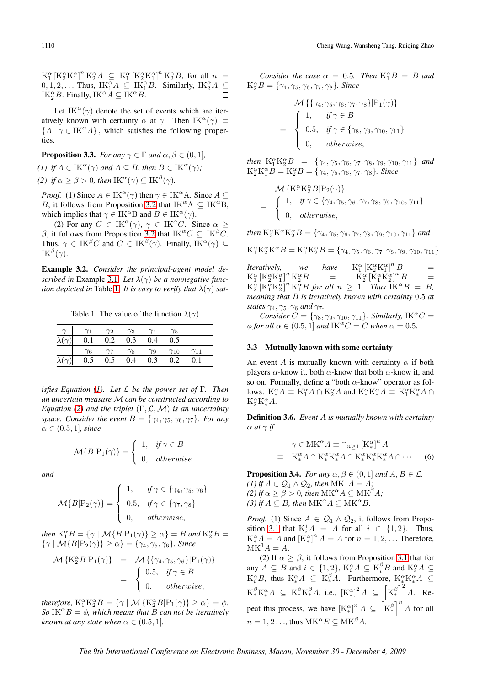<span id="page-5-0"></span> $K_1^{\alpha} \left[ K_2^{\alpha} K_1^{\alpha} \right]^n K_2^{\alpha} A \ \subseteq \ K_1^{\alpha} \left[ K_2^{\alpha} K_1^{\alpha} \right]^n K_2^{\alpha} B$ , for all  $n =$  $0, 1, 2, \ldots$  Thus,  $\text{IK}_1^{\alpha}A \subseteq \text{IK}_1^{\alpha}B$ . Similarly,  $\text{IK}_2^{\alpha}A \subseteq$ IK<sup> $\alpha$ </sup> $B$ . Finally, IK<sup> $\alpha$ </sup> $\overline{A} \subseteq$  IK $\alpha$  $\overline{B}$ .  $\Box$ 

Let IK<sup> $\alpha$ </sup>( $\gamma$ ) denote the set of events which are iteratively known with certainty  $\alpha$  at  $\gamma$ . Then IK<sup> $\alpha$ </sup>( $\gamma$ )  $\equiv$  ${A \mid \gamma \in \text{IK}^{\alpha}A}$ , which satisfies the following properties.

**Proposition 3.3.** *For any*  $\gamma \in \Gamma$  *and*  $\alpha, \beta \in (0, 1]$ *,* 

*(1) if*  $A \in \text{IK}^{\alpha}(\gamma)$  *and*  $A \subseteq B$ *, then*  $B \in \text{IK}^{\alpha}(\gamma)$ *;* 

*(2) if*  $\alpha \ge \beta > 0$ *, then*  $IK^{\alpha}(\gamma) \subseteq IK^{\beta}(\gamma)$ *.* 

*Proof.* (1) Since  $A \in \text{IK}^{\alpha}(\gamma)$  then  $\gamma \in \text{IK}^{\alpha}A$ . Since  $A \subseteq$ B, it follows from Proposition [3.2](#page-4-0) that  $IK^{\alpha}A \subseteq IK^{\alpha}B$ , which implies that  $\gamma \in \text{IK}^{\alpha}B$  and  $B \in \text{IK}^{\alpha}(\gamma)$ .

(2) For any  $C \in \text{IK}^{\alpha}(\gamma)$ ,  $\gamma \in \text{IK}^{\alpha}C$ . Since  $\alpha \geq$ β, it follows from Proposition [3.2](#page-4-0) that IK<sup> $\alpha$ </sup>C  $\subseteq$  IK<sup>β</sup>C. Thus,  $\gamma \in \mathrm{IK}^{\beta}C$  and  $C \in \mathrm{IK}^{\beta}(\gamma)$ . Finally,  $\mathrm{IK}^{\alpha}(\gamma) \subseteq$  $\text{IK}^{\beta}(\gamma).$  $\Box$ 

Example 3.2. *Consider the principal-agent model described in* Example [3.1](#page-3-0)*. Let*  $\lambda(\gamma)$  *be a nonnegative function depicted in* Table 1. It is easy to verify that  $\lambda(\gamma)$  sat-

Table 1: The value of the function  $\lambda(\gamma)$ 

|                              |            | $\gamma_2$ | $\gamma_3$ | $\gamma_4$ | $\gamma_5$    |               |  |
|------------------------------|------------|------------|------------|------------|---------------|---------------|--|
| $\overline{\lambda}(\gamma)$ | 0.1        | 0.2        | 0.3        | 0.4        | 0.5           |               |  |
|                              | $\gamma_6$ |            | $\gamma_8$ | $\gamma_9$ | $\gamma_{10}$ | $\gamma_{11}$ |  |
| $\overline{\lambda(\gamma)}$ | 0.5        | 0.5        | 0.4        | 0.3        | 0.2           | 0.1           |  |

*isfies Equation [\(1\)](#page-2-0). Let* L *be the power set of* Γ*. Then an uncertain measure* M *can be constructed according to Equation [\(2\)](#page-2-0) and the triplet*  $(\Gamma, \mathcal{L}, \mathcal{M})$  *is an uncertainty space. Consider the event*  $B = \{\gamma_4, \gamma_5, \gamma_6, \gamma_7\}$ *. For any*  $\alpha \in (0.5, 1]$ *, since* 

$$
\mathcal{M}\{B|\mathcal{P}_1(\gamma)\} = \begin{cases} 1, & \text{if } \gamma \in B \\ 0, & \text{otherwise} \end{cases}
$$

*and*

$$
\mathcal{M}\lbrace B|P_2(\gamma)\rbrace = \left\{ \begin{array}{ll} 1, & \text{if } \gamma \in \lbrace \gamma_4, \gamma_5, \gamma_6 \rbrace \\[1mm] 0.5, & \text{if } \gamma \in \lbrace \gamma_7, \gamma_8 \rbrace \\[1mm] 0, & \text{otherwise,} \end{array} \right.
$$

*then*  $K_1^{\alpha}B = \{ \gamma \mid \mathcal{M}\{B | P_1(\gamma)\} \ge \alpha \} = B$  *and*  $K_2^{\alpha}B =$  $\{\gamma \mid \mathcal{M}\{B|P_2(\gamma)\}\geq \alpha\} = \{\gamma_4, \gamma_5, \gamma_6\}.$  Since

$$
\mathcal{M}\left\{K_2^{\alpha}B|P_1(\gamma)\right\} = \mathcal{M}\left\{\{\gamma_4, \gamma_5, \gamma_6\}|P_1(\gamma)\right\}
$$

$$
= \begin{cases} 0.5, & \text{if } \gamma \in B \\ 0, & \text{otherwise,} \end{cases}
$$

*therefore,*  $K_1^{\alpha} K_2^{\alpha} B = \{ \gamma \mid \mathcal{M} \{ K_2^{\alpha} B | P_1(\gamma) \} \ge \alpha \} = \phi$ . *So* IK<sup> $\alpha$ </sup> $B = \phi$ *, which means that B can not be iteratively known at any state when*  $\alpha \in (0.5, 1]$ *.* 

*Consider the case*  $\alpha = 0.5$ *. Then*  $K_1^{\alpha}B = B$  *and*  $K_2^{\alpha}B = \{\gamma_4, \gamma_5, \gamma_6, \gamma_7, \gamma_8\}$ *. Since* 

$$
\mathcal{M} \left\{ \left\{ \gamma_4, \gamma_5, \gamma_6, \gamma_7, \gamma_8 \right\} \middle| \mathcal{P}_1(\gamma) \right\}
$$
  
= 
$$
\begin{cases} 1, & \text{if } \gamma \in B \\ 0.5, & \text{if } \gamma \in \left\{ \gamma_8, \gamma_9, \gamma_{10}, \gamma_{11} \right\} \\ 0, & \text{otherwise,} \end{cases}
$$

*then*  $K_1^{\alpha} K_2^{\alpha} B = {\gamma_4, \gamma_5, \gamma_6, \gamma_7, \gamma_8, \gamma_9, \gamma_{10}, \gamma_{11}}$  *and*  $K_2^{\alpha}K_1^{\alpha}B = K_2^{\alpha}B = \{\gamma_4, \gamma_5, \gamma_6, \gamma_7, \gamma_8\}$ *. Since* 

$$
\mathcal{M}\left\{K_1^{\alpha}K_2^{\alpha}B|P_2(\gamma)\right\}
$$
  
= 
$$
\begin{cases} 1, & \text{if } \gamma \in \{\gamma_4, \gamma_5, \gamma_6, \gamma_7, \gamma_8, \gamma_9, \gamma_{10}, \gamma_{11}\} \\ 0, & \text{otherwise,} \end{cases}
$$

*then*  $K_2^{\alpha} K_1^{\alpha} K_2^{\alpha} B = \{\gamma_4, \gamma_5, \gamma_6, \gamma_7, \gamma_8, \gamma_9, \gamma_{10}, \gamma_{11}\}\$ and

$$
\mathbf{K}^{\alpha}_1 \mathbf{K}^{\alpha}_2 \mathbf{K}^{\alpha}_1 B = \mathbf{K}^{\alpha}_1 \mathbf{K}^{\alpha}_2 B = \{ \gamma_4, \gamma_5, \gamma_6, \gamma_7, \gamma_8, \gamma_9, \gamma_{10}, \gamma_{11} \}.
$$

*Iteratively, we have*  $\int_1^{\alpha} \left[K_2^{\alpha} K_1^{\alpha}\right]^n B =$  $K_1^{\alpha} \left[ K_2^{\alpha} K_1^{\alpha} \right]^n K_2^{\alpha} B = K_2^{\alpha}$  $\frac{\alpha}{2} \left[ \tilde{K}_1^{\alpha} \tilde{K}_2^{\alpha} \right]^n B =$  $K_2^{\alpha}$   $[K_1^{\alpha} K_2^{\alpha}]^n$   $K_1^{\alpha} B$  for all  $n \geq 1$ . Thus  $IK^{\alpha} B = B$ , *meaning that* B *is iteratively known with certainty* 0.5 *at states*  $\gamma_4$ ,  $\gamma_5$ ,  $\gamma_6$  *and*  $\gamma_7$ *.* 

*Consider*  $C = \{\gamma_8, \gamma_9, \gamma_{10}, \gamma_{11}\}$ *. Similarly,* IK<sup> $\alpha$ </sup>C =  $\phi$  *for all*  $\alpha \in (0.5, 1]$  *and* IK<sup> $\alpha$ </sup>C = C *when*  $\alpha$  = 0.5*.* 

### 3.3 Mutually known with some certainty

An event A is mutually known with certainty  $\alpha$  if both players  $\alpha$ -know it, both  $\alpha$ -know that both  $\alpha$ -know it, and so on. Formally, define a "both  $\alpha$ -know" operator as follows:  $K_*^{\alpha}A \equiv K_1^{\alpha}A \cap K_2^{\alpha}A$  and  $K_*^{\alpha}K_*^{\alpha}A \equiv K_1^{\alpha}K_*^{\alpha}A \cap$  $K_2^{\alpha}K_{*}^{\alpha}A$ .

Definition 3.6. *Event* A *is mutually known with certainty*  $\alpha$  *at*  $\gamma$  *if* 

$$
\gamma \in \mathcal{M}\mathcal{K}^{\alpha}A \equiv \cap_{n\geq 1} [\mathcal{K}^{\alpha}_{*}]^{n} A
$$
  

$$
\equiv \mathcal{K}^{\alpha}_{*}A \cap \mathcal{K}^{\alpha}_{*}\mathcal{K}^{\alpha}_{*}A \cap \mathcal{K}^{\alpha}_{*}\mathcal{K}^{\alpha}_{*}\mathcal{K}^{\alpha}_{*}A \cap \cdots
$$
 (6)

**Proposition 3.4.** *For any*  $\alpha, \beta \in (0, 1]$  *and*  $A, B \in \mathcal{L}$ *, (1)* if  $A \in \mathcal{Q}_1 \wedge \mathcal{Q}_2$ , then  $MK^1A = A$ ; *(2) if*  $\alpha \ge \beta > 0$ *, then*  $MK^{\alpha}A \subseteq MK^{\beta}A$ *; (3) if*  $A \subseteq B$ *, then*  $MK^{\alpha}A \subseteq MK^{\alpha}B$ *.* 

*Proof.* (1) Since  $A \in \mathcal{Q}_1 \wedge \mathcal{Q}_2$ , it follows from Propo-sition [3.1](#page-4-0) that  $K_i^1 A = A$  for all  $i \in \{1,2\}$ . Thus,  $K_{*}^{\alpha}A = A$  and  $\left[K_{*}^{\alpha}\right]^{n}A = A$  for  $n = 1, 2, \dots$  Therefore,  $MK<sup>1</sup>A = A.$ 

(2) If  $\alpha > \beta$ , it follows from Proposition [3.1](#page-4-0) that for any  $A \subseteq B$  and  $i \in \{1,2\}$ ,  $K_i^{\alpha} A \subseteq K_i^{\beta} B$  and  $K_i^{\alpha} A \subseteq$  $K_i^{\alpha}B$ , thus  $K_{*}^{\alpha}A \subseteq K_{*}^{\beta}A$ . Furthermore,  $K_{*}^{\alpha}K_{*}^{\alpha}A \subseteq$  $\text{K}^\beta_* \text{K}^\alpha_* A \ \subseteq \ \text{K}^\beta_* \text{K}^\beta_* A$ , i.e.,  $\left[\text{K}^\alpha_*\right]^2 A \ \subseteq \ \left|\text{K}^\beta_* \right.$ ∗<br>12 A. Repeat this process, we have  $\left[K_{*}^{\alpha}\right]^{n} A \subseteq \left[K_{*}^{\beta}\right]^{n} A$  for all  $\begin{bmatrix} 1 & 1 \\ 0 & 1 \end{bmatrix}$  $n = 1, 2, \ldots$ , thus  $MK^{\alpha}E \subseteq MK^{\beta}A$ .

*The 9th International Conference on Electronic Business, Macau, November 30 - December 4, 2009*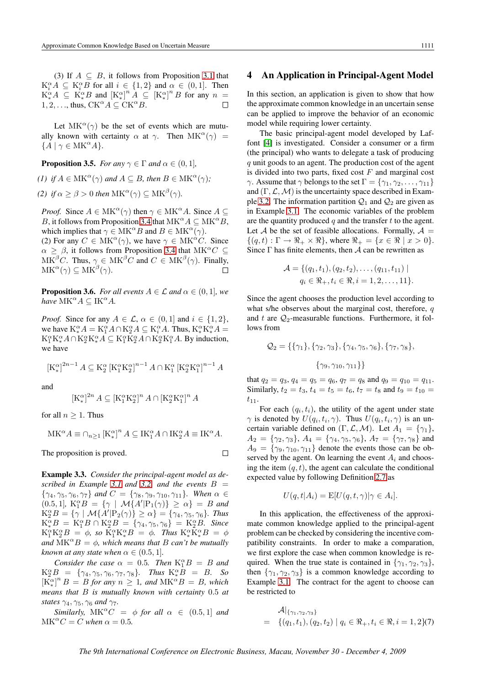<span id="page-6-0"></span>(3) If  $A \subseteq B$ , it follows from Proposition [3.1](#page-4-0) that  $K_i^{\alpha} A \subseteq K_i^{\alpha} B$  for all  $i \in \{1,2\}$  and  $\alpha \in (0,1]$ . Then  $K^{\alpha}_{*}A \subseteq K^{\alpha}_{*}B$  and  $[K^{\alpha}_{*}]^{n}A \subseteq [K^{\alpha}_{*}]^{n}B$  for any  $n =$ 1, 2, ..., thus,  $CK^{\alpha}A \subset CK^{\alpha}B$ .  $\Box$ 

Let  $MK^{\alpha}(\gamma)$  be the set of events which are mutually known with certainty  $\alpha$  at  $\gamma$ . Then  $MK^{\alpha}(\gamma)$  =  ${A \mid \gamma \in \text{MK}^{\alpha}A}.$ 

**Proposition 3.5.** *For any*  $\gamma \in \Gamma$  *and*  $\alpha \in (0, 1]$ *,* 

*(1) if*  $A \in \text{MK}^{\alpha}(\gamma)$  *and*  $A \subseteq B$ *, then*  $B \in \text{MK}^{\alpha}(\gamma)$ *;* 

*(2) if*  $\alpha \ge \beta > 0$  *then*  $MK^{\alpha}(\gamma) \subseteq MK^{\beta}(\gamma)$ *.* 

*Proof.* Since  $A \in \text{MK}^{\alpha}(\gamma)$  then  $\gamma \in \text{MK}^{\alpha}A$ . Since  $A \subseteq$ B, it follows from Proposition [3.4](#page-5-0) that  $MK^{\alpha}A \subseteq MK^{\alpha}B$ , which implies that  $\gamma \in \text{MK}^{\alpha}B$  and  $B \in \text{MK}^{\alpha}(\gamma)$ .

(2) For any  $C \in \text{MK}^{\alpha}(\gamma)$ , we have  $\gamma \in \text{MK}^{\alpha}C$ . Since  $\alpha \geq \beta$ , it follows from Proposition [3.4](#page-5-0) that MK<sup> $\alpha$ </sup>C  $\subseteq$  $MK^{\beta}C$ . Thus,  $\gamma \in MK^{\beta}C$  and  $C \in MK^{\beta}(\gamma)$ . Finally,  $MK^{\alpha}(\gamma) \subseteq MK^{\beta}(\gamma).$ 

**Proposition 3.6.** *For all events*  $A \in \mathcal{L}$  *and*  $\alpha \in (0, 1]$ *, we*  $have~\mathrm{MK}^\alpha A\subseteq \mathrm{IK}^\alpha A.$ 

*Proof.* Since for any  $A \in \mathcal{L}$ ,  $\alpha \in (0,1]$  and  $i \in \{1,2\}$ , we have  $K^{\alpha}_{*}A = K^{\alpha}_{1}A \cap K^{\alpha}_{2}A \subseteq K^{\alpha}_{i}A$ . Thus,  $K^{\alpha}_{*}K^{\alpha}_{*}A =$  $K_1^{\alpha}K_{*}^{\alpha}A \cap K_2^{\alpha}K_{*}^{\alpha}A \subseteq K_1^{\alpha}K_2^{\alpha}A \cap K_2^{\alpha}K_1^{\alpha}A$ . By induction, we have

$$
\left[\mathrm{K}_*^\alpha\right]^{2n-1} A \subseteq \mathrm{K}_2^\alpha \left[\mathrm{K}_1^\alpha \mathrm{K}_2^\alpha\right]^{n-1} A \cap \mathrm{K}_1^\alpha \left[\mathrm{K}_2^\alpha \mathrm{K}_1^\alpha\right]^{n-1} A
$$

and

$$
[\mathbf{K}_*^{\alpha}]^{2n} A \subseteq [\mathbf{K}_1^{\alpha} \mathbf{K}_2^{\alpha}]^n A \cap [\mathbf{K}_2^{\alpha} \mathbf{K}_1^{\alpha}]^n A
$$

for all  $n > 1$ . Thus

$$
\mathbf{M}\mathbf{K}^{\alpha}A \equiv \cap_{n\geq 1} [\mathbf{K}_*^{\alpha}]^n A \subseteq \mathbf{IK}_1^{\alpha}A \cap \mathbf{IK}_2^{\alpha}A \equiv \mathbf{IK}^{\alpha}A.
$$

The proposition is proved.

$$
\mathbf{1}_{\mathbf{1}}\mathbf{1}_{\mathbf{2}}
$$

Example 3.3. *Consider the principal-agent model as described in Example* [3.1](#page-3-0) *and* [3.2,](#page-5-0) *and the events*  $B =$  $\{\gamma_4, \gamma_5, \gamma_6, \gamma_7\}$  and  $C = \{\gamma_8, \gamma_9, \gamma_{10}, \gamma_{11}\}$ . When  $\alpha \in$  $(0.5, 1]$ *,*  $K_1^{\alpha}B = {\gamma | \mathcal{M}{A' | P_1(\gamma)} \ge \alpha} = B$  and  $K_2^{\alpha}B = {\gamma | \mathcal{M}{A' | P_2(\gamma)} \ge \alpha} = {\gamma_4, \gamma_5, \gamma_6}.$  Thus  $K_*^{\alpha}B = K_1^{\alpha}B \cap K_2^{\alpha}B = \{\gamma_4, \gamma_5, \gamma_6\} = K_2^{\alpha}B$ . Since  $K_1^{\alpha} K_2^{\alpha} B = \phi$ , so  $K_1^{\alpha} K_*^{\alpha} B = \phi$ . Thus  $K_*^{\alpha} K_*^{\alpha} B = \phi$ *and*  $MK^{\alpha}B = \phi$ *, which means that B can't be mutually known at any state when*  $\alpha \in (0.5, 1]$ *.* 

*Consider the case*  $\alpha = 0.5$ *. Then*  $K_1^{\alpha}B = B$  *and*  $K_2^{\alpha}B = {\gamma_4, \gamma_5, \gamma_6, \gamma_7, \gamma_8}$ *. Thus*  $K_*^{\alpha}B = B$ *. So*  $[\overline{K}_{*}^{\alpha}]^{n} B = B$  *for any*  $n \geq 1$ *, and*  $MK^{\alpha}B = B$ *, which means that* B *is mutually known with certainty* 0.5 *at states*  $\gamma_4$ ,  $\gamma_5$ ,  $\gamma_6$  *and*  $\gamma_7$ *.* 

*Similarly,*  $MK^{\alpha}C = \phi$  *for all*  $\alpha \in (0.5, 1]$  *and*  $MK^{\alpha}C = C$  when  $\alpha = 0.5$ .

### 4 An Application in Principal-Agent Model

In this section, an application is given to show that how the approximate common knowledge in an uncertain sense can be applied to improve the behavior of an economic model while requiring lower certainty.

The basic principal-agent model developed by Laffont [\[4\]](#page-8-0) is investigated. Consider a consumer or a firm (the principal) who wants to delegate a task of producing q unit goods to an agent. The production cost of the agent is divided into two parts, fixed cost  $F$  and marginal cost  $\gamma$ . Assume that  $\gamma$  belongs to the set  $\Gamma = {\gamma_1, \gamma_2, \dots, \gamma_{11}}$ and  $(\Gamma, \mathcal{L}, \mathcal{M})$  is the uncertainty space described in Exam-ple [3.2.](#page-5-0) The information partition  $Q_1$  and  $Q_2$  are given as in Example [3.1.](#page-3-0) The economic variables of the problem are the quantity produced  $q$  and the transfer  $t$  to the agent. Let A be the set of feasible allocations. Formally,  $A =$  $\{(q, t): \Gamma \to \mathbb{R}_+ \times \mathbb{R}\},$  where  $\mathbb{R}_+ = \{x \in \mathbb{R} \mid x > 0\}.$ Since  $\Gamma$  has finite elements, then  $\mathcal A$  can be rewritten as

$$
\mathcal{A} = \{ (q_1, t_1), (q_2, t_2), \dots, (q_{11}, t_{11}) \mid q_i \in \mathcal{R}_+, t_i \in \mathcal{R}, i = 1, 2, \dots, 11 \}.
$$

Since the agent chooses the production level according to what s/he observes about the marginal cost, therefore,  $q$ and t are  $Q_2$ -measurable functions. Furthermore, it follows from

$$
Q_2 = \{\{\gamma_1\}, \{\gamma_2, \gamma_3\}, \{\gamma_4, \gamma_5, \gamma_6\}, \{\gamma_7, \gamma_8\},\
$$

$$
\{\gamma_9, \gamma_{10}, \gamma_{11}\}\}
$$

that  $q_2 = q_3$ ,  $q_4 = q_5 = q_6$ ,  $q_7 = q_8$  and  $q_9 = q_{10} = q_{11}$ . Similarly,  $t_2 = t_3$ ,  $t_4 = t_5 = t_6$ ,  $t_7 = t_8$  and  $t_9 = t_{10}$  $t_{11}$ .

For each  $(q_i, t_i)$ , the utility of the agent under state  $\gamma$  is denoted by  $U(q_i, t_i, \gamma)$ . Thus  $U(q_i, t_i, \gamma)$  is an uncertain variable defined on  $(\Gamma, \mathcal{L}, \mathcal{M})$ . Let  $A_1 = \{\gamma_1\},\$  $A_2 = \{\gamma_2, \gamma_3\}, A_4 = \{\gamma_4, \gamma_5, \gamma_6\}, A_7 = \{\gamma_7, \gamma_8\}$  and  $A_9 = \{\gamma_9, \gamma_{10}, \gamma_{11}\}\$  denote the events those can be observed by the agent. On learning the event  $A_i$  and choosing the item  $(q, t)$ , the agent can calculate the conditional expected value by following Definition [2.7](#page-3-0) as

$$
U(q, t | A_i) = \mathbb{E}[U(q, t, \gamma)|\gamma \in A_i].
$$

In this application, the effectiveness of the approximate common knowledge applied to the principal-agent problem can be checked by considering the incentive compatibility constraints. In order to make a comparation, we first explore the case when common knowledge is required. When the true state is contained in  $\{\gamma_1, \gamma_2, \gamma_3\}$ , then  $\{\gamma_1, \gamma_2, \gamma_3\}$  is a common knowledge according to Example [3.1.](#page-3-0) The contract for the agent to choose can be restricted to

$$
\mathcal{A}|_{\{\gamma_1,\gamma_2,\gamma_3\}}= \{ (q_1,t_1), (q_2,t_2) \mid q_i \in \Re_+, t_i \in \Re, i = 1,2 \} (7)
$$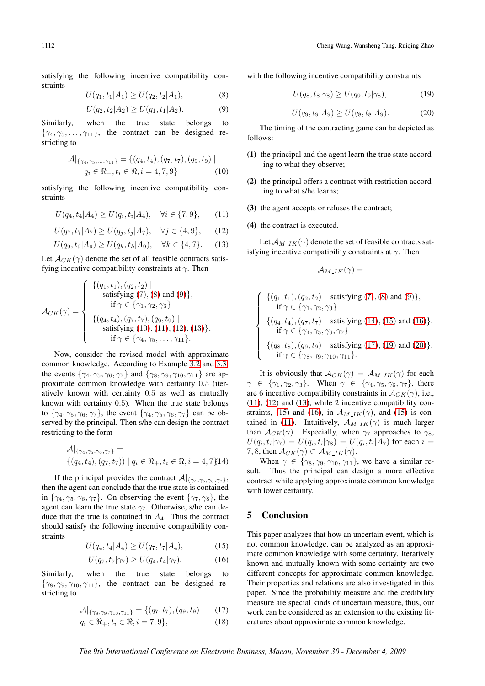satisfying the following incentive compatibility constraints

$$
U(q_1, t_1|A_1) \ge U(q_2, t_2|A_1), \tag{8}
$$

$$
U(q_2, t_2|A_2) \ge U(q_1, t_1|A_2). \tag{9}
$$

Similarly, when the true state belongs to  $\{\gamma_4, \gamma_5, \ldots, \gamma_{11}\}\$ , the contract can be designed restricting to

$$
\mathcal{A}|_{\{\gamma_4,\gamma_5,\ldots,\gamma_{11}\}} = \{ (q_4, t_4), (q_7, t_7), (q_9, t_9) \mid q_i \in \mathbb{R}_+, t_i \in \mathbb{R}, i = 4, 7, 9 \}
$$
 (10)

satisfying the following incentive compatibility constraints

$$
U(q_4, t_4|A_4) \ge U(q_i, t_i|A_4), \quad \forall i \in \{7, 9\}, \tag{11}
$$

$$
U(q_7, t_7|A_7) \ge U(q_j, t_j|A_7), \quad \forall j \in \{4, 9\}, \tag{12}
$$

$$
U(q_9, t_9|A_9) \ge U(q_k, t_k|A_9), \quad \forall k \in \{4, 7\}.
$$
 (13)

Let  $\mathcal{A}_{CK}(\gamma)$  denote the set of all feasible contracts satisfying incentive compatibility constraints at  $\gamma$ . Then

$$
\mathcal{A}_{CK}(\gamma) = \begin{cases}\n\{(q_1, t_1), (q_2, t_2) \mid \\
\text{satisfying } (7), (8) \text{ and } (9)\}, \\
\text{if } \gamma \in \{\gamma_1, \gamma_2, \gamma_3\} \\
\{(q_4, t_4), (q_7, t_7), (q_9, t_9) \mid \\
\text{satisfying } (10), (11), (12), (13)\}, \\
\text{if } \gamma \in \{\gamma_4, \gamma_5, \dots, \gamma_{11}\}.\n\end{cases}
$$

Now, consider the revised model with approximate common knowledge. According to Example [3.2](#page-5-0) and [3.3,](#page-6-0) the events  $\{\gamma_4, \gamma_5, \gamma_6, \gamma_7\}$  and  $\{\gamma_8, \gamma_9, \gamma_{10}, \gamma_{11}\}$  are approximate common knowledge with certainty 0.5 (iteratively known with certainty 0.5 as well as mutually known with certainty 0.5). When the true state belongs to  $\{\gamma_4, \gamma_5, \gamma_6, \gamma_7\}$ , the event  $\{\gamma_4, \gamma_5, \gamma_6, \gamma_7\}$  can be observed by the principal. Then s/he can design the contract restricting to the form

$$
\mathcal{A}|_{\{\gamma_4,\gamma_5,\gamma_6,\gamma_7\}} = \{(q_4, t_4), (q_7, t_7)) | q_i \in \Re_+, t_i \in \Re, i = 4,7\}
$$

If the principal provides the contract  $\mathcal{A}|_{\{\gamma_4,\gamma_5,\gamma_6,\gamma_7\}}$ , then the agent can conclude that the true state is contained in  $\{\gamma_4, \gamma_5, \gamma_6, \gamma_7\}$ . On observing the event  $\{\gamma_7, \gamma_8\}$ , the agent can learn the true state  $\gamma$ <sup>7</sup>. Otherwise, s/he can deduce that the true is contained in  $A<sub>4</sub>$ . Thus the contract should satisfy the following incentive compatibility constraints

$$
U(q_4, t_4|A_4) \ge U(q_7, t_7|A_4), \tag{15}
$$

$$
U(q_7, t_7|\gamma_7) \ge U(q_4, t_4|\gamma_7). \tag{16}
$$

Similarly, when the true state belongs to  $\{\gamma_8, \gamma_9, \gamma_{10}, \gamma_{11}\}$ , the contract can be designed restricting to

$$
\mathcal{A}|_{\{\gamma_8,\gamma_9,\gamma_{10},\gamma_{11}\}} = \{(q_7,t_7),(q_9,t_9) \mid (17)
$$

$$
q_i \in \mathfrak{R}_+, t_i \in \mathfrak{R}, i = 7, 9\},\tag{18}
$$

with the following incentive compatibility constraints

$$
U(q_8, t_8|\gamma_8) \ge U(q_9, t_9|\gamma_8),\tag{19}
$$

$$
U(q_9, t_9|A_9) \ge U(q_8, t_8|A_9). \tag{20}
$$

The timing of the contracting game can be depicted as follows:

- (1) the principal and the agent learn the true state according to what they observe;
- (2) the principal offers a contract with restriction according to what s/he learns;
- (3) the agent accepts or refuses the contract;
- (4) the contract is executed.

Let  $\mathcal{A}_{M_{I}K}(\gamma)$  denote the set of feasible contracts satisfying incentive compatibility constraints at  $\gamma$ . Then

$$
{\cal A}_{M\_IK}(\gamma) =
$$

$$
\begin{cases}\n\{(q_1, t_1), (q_2, t_2) \mid \text{ satisfying (7), (8) and (9)}\}, \\
\text{if } \gamma \in \{\gamma_1, \gamma_2, \gamma_3\} \\
\{(q_4, t_4), (q_7, t_7) \mid \text{ satisfying (14), (15) and (16)}\}, \\
\text{if } \gamma \in \{\gamma_4, \gamma_5, \gamma_6, \gamma_7\} \\
\{(q_8, t_8), (q_9, t_9) \mid \text{ satisfying (17), (19) and (20)}\}, \\
\text{if } \gamma \in \{\gamma_8, \gamma_9, \gamma_{10}, \gamma_{11}\}.\n\end{cases}
$$

It is obviously that  $A_{CK}(\gamma) = A_{M_{I}IK}(\gamma)$  for each  $\gamma \in \{\gamma_1, \gamma_2, \gamma_3\}$ . When  $\gamma \in \{\gamma_4, \gamma_5, \gamma_6, \gamma_7\}$ , there are 6 incentive compatibility constraints in  $\mathcal{A}_{CK}(\gamma)$ , i.e., (11), (12) and (13), while 2 incentive compatibility constraints, (15) and (16), in  $\mathcal{A}_{M\perp K}(\gamma)$ , and (15) is contained in (11). Intuitively,  $A_{M\_IK}(\gamma)$  is much larger than  $A_{CK}(\gamma)$ . Especially, when  $\gamma_7$  approaches to  $\gamma_8$ ,  $U(q_i, t_i | \gamma_7) = U(q_i, t_i | \gamma_8) = U(q_i, t_i | A_7)$  for each  $i =$ 7, 8, then  $\mathcal{A}_{CK}(\gamma) \subset \mathcal{A}_{M-IK}(\gamma)$ .

When  $\gamma \in \{\gamma_8, \gamma_9, \gamma_{10}, \gamma_{11}\}$ , we have a similar result. Thus the principal can design a more effective contract while applying approximate common knowledge with lower certainty.

## 5 Conclusion

This paper analyzes that how an uncertain event, which is not common knowledge, can be analyzed as an approximate common knowledge with some certainty. Iteratively known and mutually known with some certainty are two different concepts for approximate common knowledge. Their properties and relations are also investigated in this paper. Since the probability measure and the credibility measure are special kinds of uncertain measure, thus, our work can be considered as an extension to the existing literatures about approximate common knowledge.